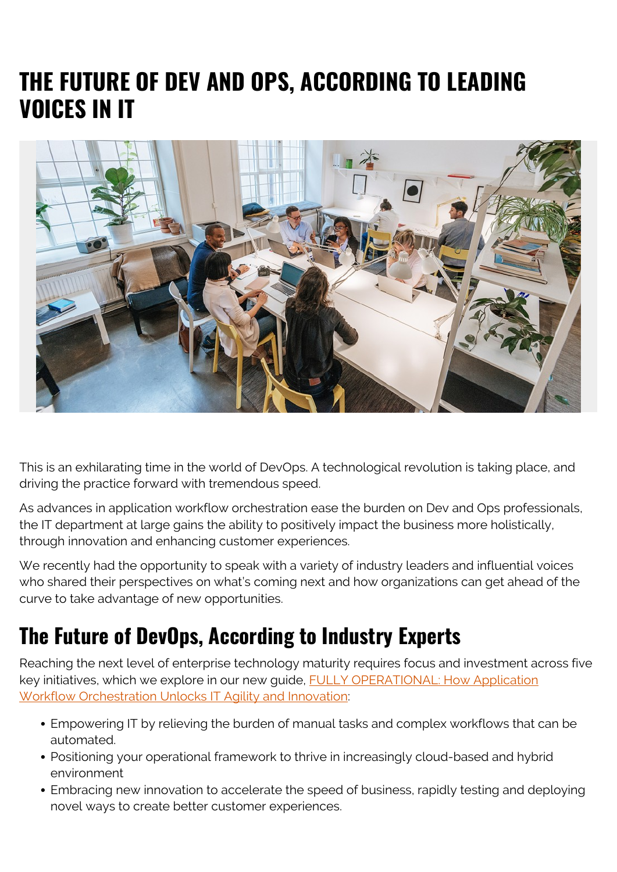# **THE FUTURE OF DEV AND OPS, ACCORDING TO LEADING VOICES IN IT**



This is an exhilarating time in the world of DevOps. A technological revolution is taking place, and driving the practice forward with tremendous speed.

As advances in application workflow orchestration ease the burden on Dev and Ops professionals, the IT department at large gains the ability to positively impact the business more holistically, through innovation and enhancing customer experiences.

We recently had the opportunity to speak with a variety of industry leaders and influential voices who shared their perspectives on what's coming next and how organizations can get ahead of the curve to take advantage of new opportunities.

## **The Future of DevOps, According to Industry Experts**

Reaching the next level of enterprise technology maturity requires focus and investment across five key initiatives, which we explore in our new guide, [FULLY OPERATIONAL: How Application](https://blogs.bmc.com/forms/fully-operational-influencer-control-m-ebook.html) [Workflow Orchestration Unlocks IT Agility and Innovation:](https://blogs.bmc.com/forms/fully-operational-influencer-control-m-ebook.html)

- Empowering IT by relieving the burden of manual tasks and complex workflows that can be automated.
- Positioning your operational framework to thrive in increasingly cloud-based and hybrid environment
- Embracing new innovation to accelerate the speed of business, rapidly testing and deploying novel ways to create better customer experiences.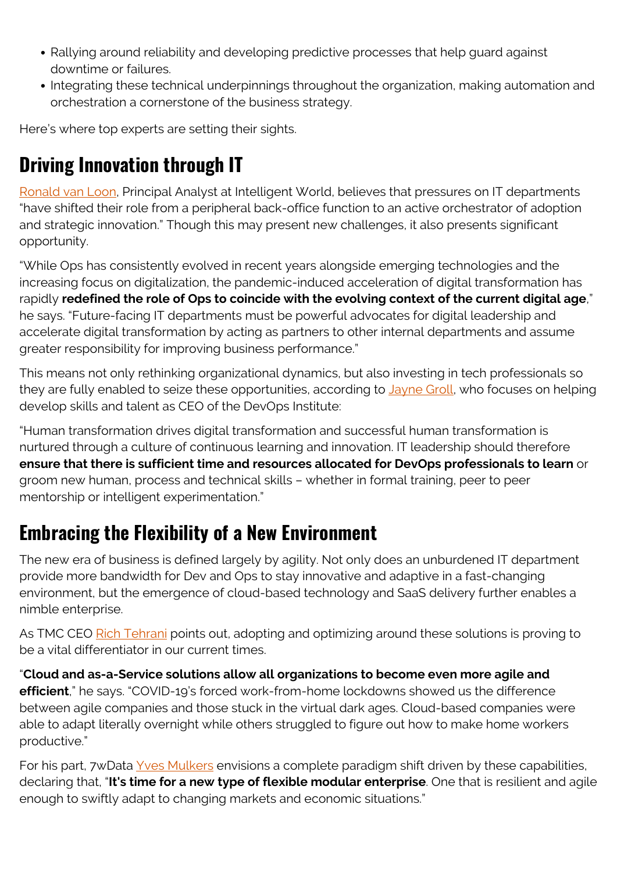- Rallying around reliability and developing predictive processes that help guard against downtime or failures.
- Integrating these technical underpinnings throughout the organization, making automation and orchestration a cornerstone of the business strategy.

Here's where top experts are setting their sights.

### **Driving Innovation through IT**

[Ronald van Loon](https://www.linkedin.com/in/ronald-van-loon-5411a/), Principal Analyst at Intelligent World, believes that pressures on IT departments "have shifted their role from a peripheral back-office function to an active orchestrator of adoption and strategic innovation." Though this may present new challenges, it also presents significant opportunity.

"While Ops has consistently evolved in recent years alongside emerging technologies and the increasing focus on digitalization, the pandemic-induced acceleration of digital transformation has rapidly **redefined the role of Ops to coincide with the evolving context of the current digital age**," he says. "Future-facing IT departments must be powerful advocates for digital leadership and accelerate digital transformation by acting as partners to other internal departments and assume greater responsibility for improving business performance."

This means not only rethinking organizational dynamics, but also investing in tech professionals so they are fully enabled to seize these opportunities, according to *Jayne Groll*, who focuses on helping develop skills and talent as CEO of the DevOps Institute:

"Human transformation drives digital transformation and successful human transformation is nurtured through a culture of continuous learning and innovation. IT leadership should therefore **ensure that there is sufficient time and resources allocated for DevOps professionals to learn** or groom new human, process and technical skills – whether in formal training, peer to peer mentorship or intelligent experimentation."

#### **Embracing the Flexibility of a New Environment**

The new era of business is defined largely by agility. Not only does an unburdened IT department provide more bandwidth for Dev and Ops to stay innovative and adaptive in a fast-changing environment, but the emergence of cloud-based technology and SaaS delivery further enables a nimble enterprise.

As TMC CEO [Rich Tehrani](https://www.linkedin.com/in/richtehrani/) points out, adopting and optimizing around these solutions is proving to be a vital differentiator in our current times.

"**Cloud and as-a-Service solutions allow all organizations to become even more agile and efficient**," he says. "COVID-19's forced work-from-home lockdowns showed us the difference between agile companies and those stuck in the virtual dark ages. Cloud-based companies were able to adapt literally overnight while others struggled to figure out how to make home workers productive."

For his part, 7wData [Yves Mulkers](https://www.linkedin.com/in/yves-mulkers/) envisions a complete paradigm shift driven by these capabilities, declaring that, "**It's time for a new type of flexible modular enterprise**. One that is resilient and agile enough to swiftly adapt to changing markets and economic situations."